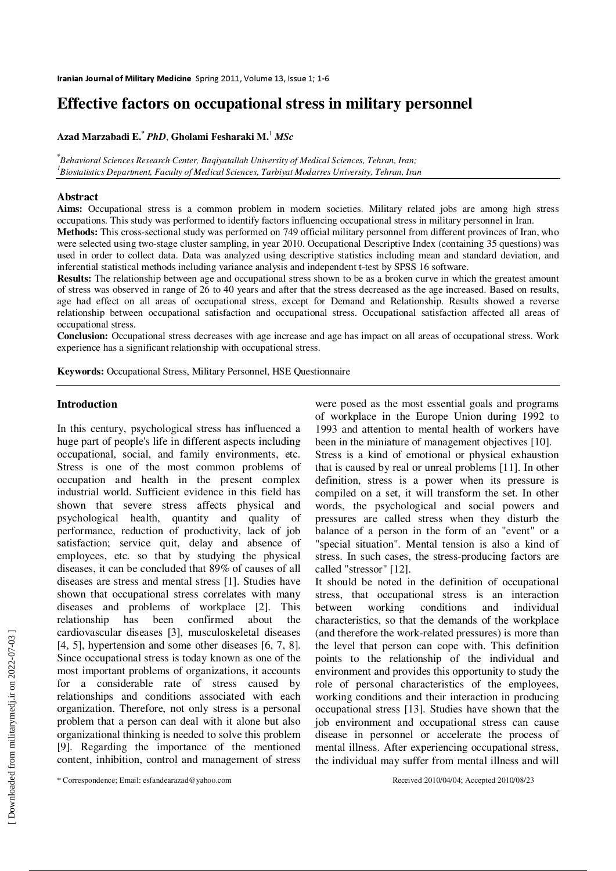# **Effective factors on occupational stress in military personnel**

**Azad Marzabadi E.\***  *PhD*, **Gholami Fesharaki M.**<sup>1</sup> *MSc*

**\*** *Behavioral Sciences Research Center, Baqiyatallah University of Medical Sciences, Tehran, Iran; 1 Biostatistics Department, Faculty of Medical Sciences, Tarbiyat Modarres University, Tehran, Iran*

#### **Abstract**

**Aims:** Occupational stress is a common problem in modern societies. Military related jobs are among high stress occupations. This study was performed to identify factors influencing occupational stress in military personnel in Iran.

**Methods:** This cross-sectional study was performed on 749 official military personnel from different provinces of Iran, who were selected using two-stage cluster sampling, in year 2010. Occupational Descriptive Index (containing 35 questions) was used in order to collect data. Data was analyzed using descriptive statistics including mean and standard deviation, and inferential statistical methods including variance analysis and independent t-test by SPSS 16 software.

**Results:** The relationship between age and occupational stress shown to be as a broken curve in which the greatest amount of stress was observed in range of 26 to 40 years and after that the stress decreased as the age increased. Based on results, age had effect on all areas of occupational stress, except for Demand and Relationship. Results showed a reverse relationship between occupational satisfaction and occupational stress. Occupational satisfaction affected all areas of occupational stress.

**Conclusion:** Occupational stress decreases with age increase and age has impact on all areas of occupational stress. Work experience has a significant relationship with occupational stress.

**Keywords:** Occupational Stress, Military Personnel, HSE Questionnaire

#### **Introduction**

In this century, psychological stress has influenced a huge part of people's life in different aspects including occupational, social, and family environments, etc. Stress is one of the most common problems of occupation and health in the present complex industrial world. Sufficient evidence in this field has shown that severe stress affects physical and psychological health, quantity and quality of performance, reduction of productivity, lack of job satisfaction; service quit, delay and absence of employees, etc. so that by studying the physical diseases, it can be concluded that 89% of causes of all diseases are stress and mental stress [1]. Studies have shown that occupational stress correlates with many diseases and problems of workplace [2]. This relationship has been confirmed about the cardiovascular diseases [3], musculoskeletal diseases [4, 5], hypertension and some other diseases [6, 7, 8]. Since occupational stress is today known as one of the most important problems of organizations, it accounts for a considerable rate of stress caused by relationships and conditions associated with each organization. Therefore, not only stress is a personal problem that a person can deal with it alone but also organizational thinking is needed to solve this problem [9]. Regarding the importance of the mentioned content, inhibition, control and management of stress were posed as the most essential goals and programs of workplace in the Europe Union during 1992 to 1993 and attention to mental health of workers have been in the miniature of management objectives [10].

Stress is a kind of emotional or physical exhaustion that is caused by real or unreal problems [11]. In other definition, stress is a power when its pressure is compiled on a set, it will transform the set. In other words, the psychological and social powers and pressures are called stress when they disturb the balance of a person in the form of an "event" or a "special situation". Mental tension is also a kind of stress. In such cases, the stress-producing factors are called "stressor" [12].

It should be noted in the definition of occupational stress, that occupational stress is an interaction between working conditions and individual characteristics, so that the demands of the workplace (and therefore the work-related pressures) is more than the level that person can cope with. This definition points to the relationship of the individual and environment and provides this opportunity to study the role of personal characteristics of the employees, working conditions and their interaction in producing occupational stress [13]. Studies have shown that the job environment and occupational stress can cause disease in personnel or accelerate the process of mental illness. After experiencing occupational stress, the individual may suffer from mental illness and will

<sup>\*</sup> Correspondence; Email: esfandearazad@yahoo.com Received 2010/04/04; Accepted 2010/08/23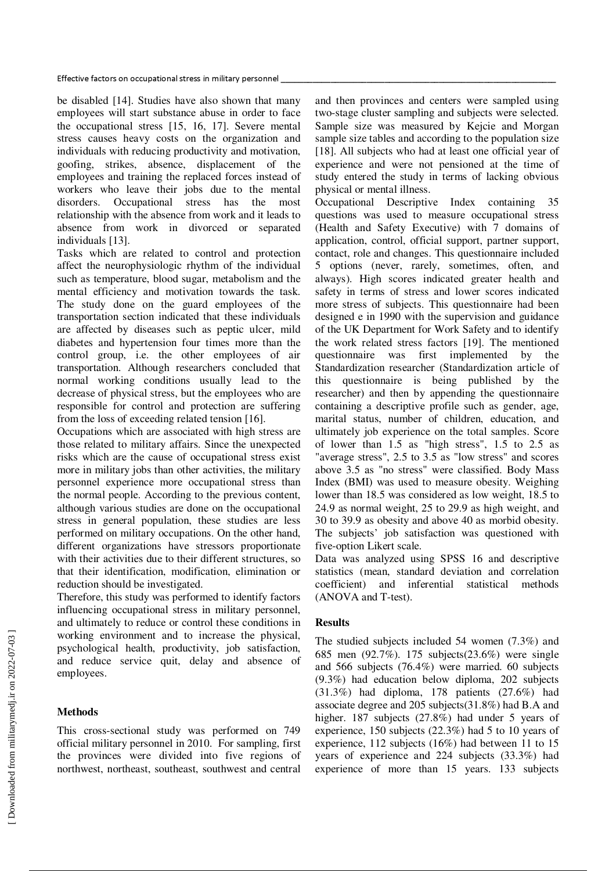be disabled [14]. Studies have also shown that many employees will start substance abuse in order to face the occupational stress [15, 16, 17]. Severe mental stress causes heavy costs on the organization and individuals with reducing productivity and motivation, goofing, strikes, absence, displacement of the employees and training the replaced forces instead of workers who leave their jobs due to the mental disorders. Occupational stress has the most relationship with the absence from work and it leads to absence from work in divorced or separated individuals [13].

Tasks which are related to control and protection affect the neurophysiologic rhythm of the individual such as temperature, blood sugar, metabolism and the mental efficiency and motivation towards the task. The study done on the guard employees of the transportation section indicated that these individuals are affected by diseases such as peptic ulcer, mild diabetes and hypertension four times more than the control group, i.e. the other employees of air transportation. Although researchers concluded that normal working conditions usually lead to the decrease of physical stress, but the employees who are responsible for control and protection are suffering from the loss of exceeding related tension [16].

Occupations which are associated with high stress are those related to military affairs. Since the unexpected risks which are the cause of occupational stress exist more in military jobs than other activities, the military personnel experience more occupational stress than the normal people. According to the previous content, although various studies are done on the occupational stress in general population, these studies are less performed on military occupations. On the other hand, different organizations have stressors proportionate with their activities due to their different structures, so that their identification, modification, elimination or reduction should be investigated.

Therefore, this study was performed to identify factors influencing occupational stress in military personnel, and ultimately to reduce or control these conditions in working environment and to increase the physical, psychological health, productivity, job satisfaction, and reduce service quit, delay and absence of employees.

## **Methods**

This cross-sectional study was performed on 749 official military personnel in 2010. For sampling, first the provinces were divided into five regions of northwest, northeast, southeast, southwest and central and then provinces and centers were sampled using two-stage cluster sampling and subjects were selected. Sample size was measured by Kejcie and Morgan sample size tables and according to the population size [18]. All subjects who had at least one official year of experience and were not pensioned at the time of study entered the study in terms of lacking obvious physical or mental illness.

Occupational Descriptive Index containing 35 questions was used to measure occupational stress (Health and Safety Executive) with 7 domains of application, control, official support, partner support, contact, role and changes. This questionnaire included 5 options (never, rarely, sometimes, often, and always). High scores indicated greater health and safety in terms of stress and lower scores indicated more stress of subjects. This questionnaire had been designed e in 1990 with the supervision and guidance of the UK Department for Work Safety and to identify the work related stress factors [19]. The mentioned questionnaire was first implemented by the Standardization researcher (Standardization article of this questionnaire is being published by the researcher) and then by appending the questionnaire containing a descriptive profile such as gender, age, marital status, number of children, education, and ultimately job experience on the total samples. Score of lower than 1.5 as "high stress", 1.5 to 2.5 as "average stress", 2.5 to 3.5 as "low stress" and scores above 3.5 as "no stress" were classified. Body Mass Index (BMI) was used to measure obesity. Weighing lower than 18.5 was considered as low weight, 18.5 to 24.9 as normal weight, 25 to 29.9 as high weight, and 30 to 39.9 as obesity and above 40 as morbid obesity. The subjects' job satisfaction was questioned with five-option Likert scale.

Data was analyzed using SPSS 16 and descriptive statistics (mean, standard deviation and correlation coefficient) and inferential statistical methods (ANOVA and T-test).

## **Results**

The studied subjects included 54 women (7.3%) and 685 men (92.7%). 175 subjects(23.6%) were single and 566 subjects (76.4%) were married. 60 subjects (9.3%) had education below diploma, 202 subjects (31.3%) had diploma, 178 patients (27.6%) had associate degree and 205 subjects(31.8%) had B.A and higher. 187 subjects (27.8%) had under 5 years of experience, 150 subjects (22.3%) had 5 to 10 years of experience, 112 subjects (16%) had between 11 to 15 years of experience and 224 subjects (33.3%) had experience of more than 15 years. 133 subjects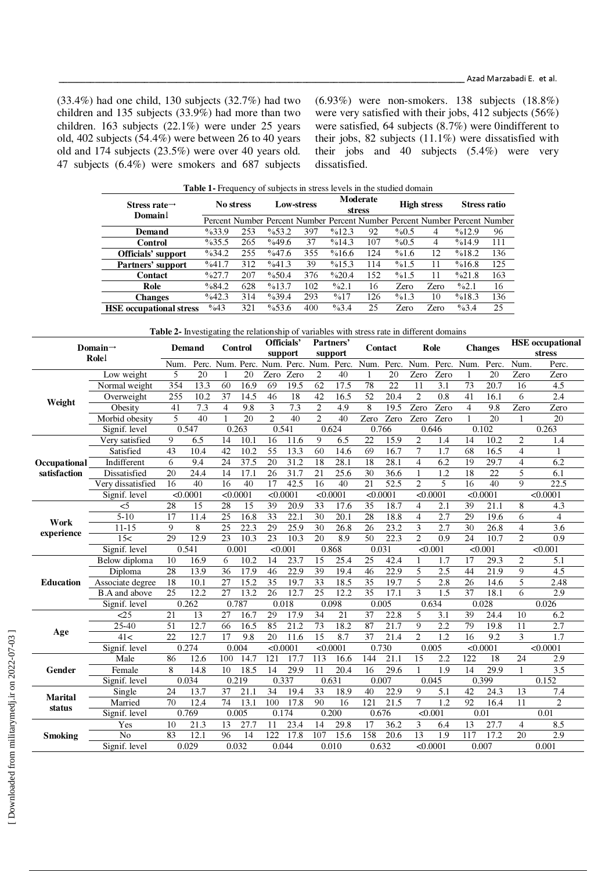(33.4%) had one child, 130 subjects (32.7%) had two children and 135 subjects (33.9%) had more than two children. 163 subjects (22.1%) were under 25 years old, 402 subjects (54.4%) were between 26 to 40 years old and 174 subjects (23.5%) were over 40 years old. 47 subjects (6.4%) were smokers and 687 subjects (6.93%) were non-smokers. 138 subjects (18.8%) were very satisfied with their jobs, 412 subjects (56%) were satisfied, 64 subjects (8.7%) were 0indifferent to their jobs, 82 subjects (11.1%) were dissatisfied with their jobs and 40 subjects (5.4%) were very dissatisfied.

| <b>Table 1</b> Frequency of subjects in stress levels in the studied domain |                  |           |          |                   |                  |                           |         |                    |                     |                                                                            |  |  |  |
|-----------------------------------------------------------------------------|------------------|-----------|----------|-------------------|------------------|---------------------------|---------|--------------------|---------------------|----------------------------------------------------------------------------|--|--|--|
| Stress rate $\rightarrow$<br>Domain                                         |                  | No stress |          | <b>Low-stress</b> |                  | Moderate<br><b>stress</b> |         | <b>High stress</b> | <b>Stress ratio</b> |                                                                            |  |  |  |
|                                                                             |                  |           |          |                   |                  |                           |         |                    |                     | Percent Number Percent Number Percent Number Percent Number Percent Number |  |  |  |
| <b>Demand</b>                                                               | $\%33.9$         | 253       | $\%53.2$ | 397               | %12.3            | 92                        | $\%0.5$ | $\overline{4}$     | %12.9               | 96                                                                         |  |  |  |
| Control                                                                     | $\%35.5$         | 265       | %49.6    | 37                | %14.3            | 107                       | $\%0.5$ | 4                  | %14.9               | 111                                                                        |  |  |  |
| <b>Officials' support</b>                                                   | $\%34.2$         | 255       | $\%47.6$ | 355               | %16.6            | 124                       | %1.6    | 12                 | %18.2               | 136                                                                        |  |  |  |
| Partners' support                                                           | %41.7            | 312       | %41.3    | 39                | %15.3            | 114                       | %1.5    | 11                 | %16.8               | 125                                                                        |  |  |  |
| Contact                                                                     | $\frac{9}{27.7}$ | 207       | %50.4    | 376               | $\%20.4$         | 152                       | %1.5    | 11                 | %21.8               | 163                                                                        |  |  |  |
| Role                                                                        | %84.2            | 628       | %13.7    | 102               | $\frac{9}{2.1}$  | 16                        | Zero    | Zero               | $\%2.1$             | 16                                                                         |  |  |  |
| <b>Changes</b>                                                              | $\frac{6}{42.3}$ | 314       | $\%39.4$ | 293               | $\frac{9}{6}$ 17 | 126                       | %1.3    | 10                 | %18.3               | 136                                                                        |  |  |  |
| <b>HSE</b> occupational stress                                              | $\frac{6}{43}$   | 321       | $\%53.6$ | 400               | $\%3.4$          | 25                        | Zero    | Zero               | $\%3.4$             | 25                                                                         |  |  |  |

**Table 2-** Investigating the relationship of variables with stress rate in different domains

| Domain $\rightarrow$<br>Rolel |                      | Demand          |          | <b>Control</b>  |       | Officials'<br>support |          | Partners'<br>support             |          | Contact          |                   | Role                    |                  | <b>Changes</b> |                   | <b>HSE</b> occupational |                  |
|-------------------------------|----------------------|-----------------|----------|-----------------|-------|-----------------------|----------|----------------------------------|----------|------------------|-------------------|-------------------------|------------------|----------------|-------------------|-------------------------|------------------|
|                               |                      |                 |          |                 |       |                       |          |                                  |          |                  |                   |                         |                  |                |                   | stress                  |                  |
|                               |                      | Num.            | Perc.    |                 |       |                       |          | Num. Perc. Num. Perc. Num. Perc. |          | Num.             | Perc.             | Num.                    | Perc.            | Num.           | Perc.             | Num.                    | Perc.            |
| Weight                        | Low weight           | 5               | 20       |                 | 20    | Zero                  | Zero     | $\overline{2}$                   | 40       |                  | 20                | Zero                    | Zero             | 1              | 20                | Zero                    | Zero             |
|                               | Normal weight        | 354             | 13.3     | 60              | 16.9  | 69                    | 19.5     | 62                               | 17.5     | 78               | 22                | 11                      | 3.1              | 73             | 20.7              | 16                      | 4.5              |
|                               | Overweight           | 255             | 10.2     | 37              | 14.5  | 46                    | 18       | 42                               | 16.5     | $\overline{52}$  | 20.4              | $\overline{2}$          | 0.8              | 41             | 16.1              | 6                       | 2.4              |
|                               | Obesity              | $\overline{41}$ | 7.3      | $\overline{4}$  | 9.8   | 3                     | 7.3      | $\overline{2}$                   | 4.9      | 8                | 19.5              | Zero                    | Zero             | $\overline{4}$ | 9.8               | Zero                    | Zero             |
|                               | Morbid obesity       | 5               | 40       | $\mathbf{1}$    | 20    | $\overline{c}$        | 40       | $\overline{2}$                   | 40       | Zero             | Zero              | Zero                    | Zero             |                | 20                | 1                       | 20               |
|                               | Signif. level        |                 | 0.547    |                 | 0.263 |                       | 0.541    |                                  | 0.624    | 0.766            |                   |                         | 0.646            |                | 0.102             |                         | 0.263            |
|                               | Very satisfied       | 9               | 6.5      | 14              | 10.1  | 16                    | 11.6     | 9                                | 6.5      | 22               | 15.9              | 2                       | 1.4              | 14             | 10.2              | $\overline{2}$          | 1.4              |
|                               | Satisfied            | 43              | 10.4     | 42              | 10.2  | 55                    | 13.3     | 60                               | 14.6     | 69               | 16.7              | 7                       | 1.7              | 68             | 16.5              | $\overline{4}$          | 1                |
| Occupational                  | <b>Indifferent</b>   | 6               | 9.4      | 24              | 37.5  | 20                    | 31.2     | 18                               | 28.1     | 18               | 28.1              | $\overline{4}$          | 6.2              | 19             | 29.7              | $\overline{4}$          | 6.2              |
| satisfaction                  | Dissatisfied         | 20              | 24.4     | 14              | 17.1  | 26                    | 31.7     | 21                               | 25.6     | 30               | 36.6              | $\mathbf{1}$            | 1.2              | 18             | 22                | 5                       | 6.1              |
|                               | Very dissatisfied    | 16              | 40       | 16              | 40    | 17                    | 42.5     | 16                               | 40       | 21               | $\overline{52.5}$ | $\overline{c}$          | 5                | 16             | 40                | 9                       | 22.5             |
|                               | Signif. level        |                 | < 0.0001 | < 0.0001        |       |                       | < 0.0001 |                                  | < 0.0001 | < 0.0001         |                   | < 0.0001                |                  | < 0.0001       |                   |                         | < 0.0001         |
| Work<br>experience            | <5                   | 28              | 15       | 28              | 15    | 39                    | 20.9     | 33                               | 17.6     | 35               | 18.7              | 4                       | 2.1              | 39             | 21.1              | 8                       | 4.3              |
|                               | $5 - 10$             | 17              | 11.4     | 25              | 16.8  | 33                    | 22.1     | 30                               | 20.1     | 28               | 18.8              | 4                       | 2.7              | 29             | 19.6              | 6                       | 4                |
|                               | $11 - 15$            | 9               | 8        | 25              | 22.3  | 29                    | 25.9     | 30                               | 26.8     | 26               | 23.2              | $\overline{\mathbf{3}}$ | $\overline{2.7}$ | 30             | $26.\overline{8}$ | $\overline{4}$          | $\overline{3.6}$ |
|                               | 15<                  | 29              | 12.9     | 23              | 10.3  | 23                    | 10.3     | 20                               | 8.9      | 50               | 22.3              | $\overline{c}$          | 0.9              | 24             | 10.7              | 2                       | 0.9              |
|                               | Signif. level        | 0.541           |          | 0.001           |       |                       | < 0.001  |                                  | 0.868    | 0.031            |                   | < 0.001                 |                  |                | < 0.001           |                         | < 0.001          |
| <b>Education</b>              | Below diploma        | 10              | 16.9     | 6               | 10.2  | 14                    | 23.7     | 15                               | 25.4     | 25               | 42.4              | 1                       | 1.7              | 17             | 29.3              | 2                       | 5.1              |
|                               | Diploma              | 28              | 13.9     | 36              | 17.9  | 46                    | 22.9     | 39                               | 19.4     | $\overline{46}$  | 22.9              | 5                       | $\overline{2.5}$ | 44             | 21.9              | $\overline{9}$          | $\overline{4.5}$ |
|                               | Associate degree     | 18              | 10.1     | 27              | 15.2  | 35                    | 19.7     | 33                               | 18.5     | $\overline{35}$  | 19.7              | 5                       | $\overline{2.8}$ | 26             | 14.6              | 5                       | 2.48             |
|                               | <b>B.A</b> and above | $\overline{25}$ | 12.2     | 27              | 13.2  | 26                    | 12.7     | 25                               | 12.2     | 35               | 17.1              | 3                       | $\overline{1.5}$ | 37             | 18.1              | 6                       | 2.9              |
|                               | Signif, level        |                 | 0.262    | 0.787           |       |                       | 0.018    |                                  | 0.098    | 0.005            |                   |                         | 0.634            | 0.028          |                   |                         | 0.026            |
| Age                           | $\leq$ 25            | 21              | 13       | 27              | 16.7  | 29                    | 17.9     | 34                               | 21       | 37               | 22.8              | 5                       | 3.1              | 39             | 24.4              | 10                      | 6.2              |
|                               | 25-40                | 51              | 12.7     | 66              | 16.5  | 85                    | 21.2     | 73                               | 18.2     | 87               | $\overline{21.7}$ | 9                       | 2.2              | 79             | 19.8              | 11                      | 2.7              |
|                               | 41<                  | 22              | 12.7     | 17              | 9.8   | $\overline{20}$       | 11.6     | 15                               | 8.7      | $\overline{37}$  | 21.4              | $\overline{2}$          | 1.2              | 16             | 9.2               | 3                       | 1.7              |
|                               | Signif. level        |                 | 0.274    |                 | 0.004 |                       | < 0.0001 |                                  | < 0.0001 | 0.730            |                   | 0.005                   |                  |                | < 0.0001          | < 0.0001                |                  |
| Gender                        | Male                 | 86              | 12.6     | 100             | 14.7  | 121                   | 17.7     | 113                              | 16.6     | 144              | 21.1              | 15                      | 2.2              | 122            | 18                | 24                      | 2.9              |
|                               | Female               | 8               | 14.8     | 10              | 18.5  | 14                    | 29.9     | 11                               | 20.4     | 16               | 29.6              | 1                       | 1.9              | 14             | 29.9              | $\mathbf{1}$            | 3.5              |
|                               | Signif. level        |                 | 0.034    |                 | 0.219 |                       | 0.337    |                                  | 0.631    | 0.007            |                   | 0.045                   |                  |                | 0.399             |                         | 0.152            |
| Marital<br>status             | Single               | 24              | 13.7     | 37              | 21.1  | 34                    | 19.4     | 33                               | 18.9     | 40               | 22.9              | 9                       | 5.1              | 42             | 24.3              | 13                      | 7.4              |
|                               | Married              | $\overline{70}$ | 12.4     | $\overline{74}$ | 13.1  | 100                   | 17.8     | $\overline{90}$                  | 16       | $\overline{121}$ | $\overline{21.5}$ | 7                       | 1.2              | 92             | 16.4              | 11                      | $\overline{2}$   |
|                               | Signif. level        |                 | 0.769    |                 | 0.005 |                       | 0.174    |                                  | 0.200    | 0.676            |                   | < 0.001                 |                  | 0.01           |                   |                         | 0.01             |
| <b>Smoking</b>                | Yes                  | 10              | 21.3     | 13              | 27.7  | 11                    | 23.4     | 14                               | 29.8     | 17               | 36.2              | 3                       | 6.4              | 13             | 27.7              | $\overline{4}$          | 8.5              |
|                               | No                   | 83              | 12.1     | 96              | 14    | 122                   | 17.8     | 107                              | 15.6     | 158              | 20.6              | 13                      | 1.9              | 117            | 17.2              | 20                      | 2.9              |
|                               | Signif, level        |                 | 0.029    | 0.032           |       |                       | 0.044    |                                  | 0.010    | 0.632            |                   | < 0.0001                |                  |                | 0.007             |                         | 0.001            |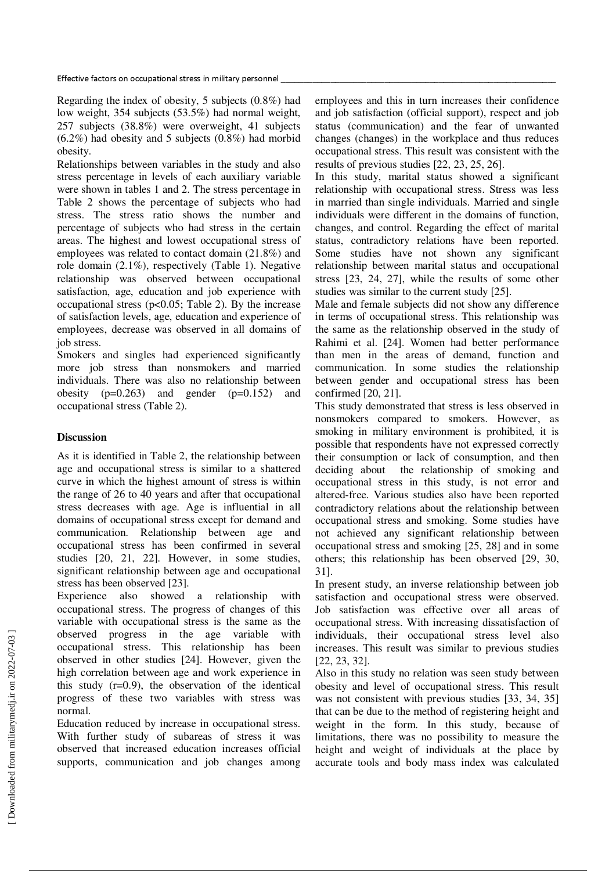Effective factors on occupational stress in military personnel

Regarding the index of obesity, 5 subjects (0.8%) had low weight, 354 subjects (53.5%) had normal weight, 257 subjects (38.8%) were overweight, 41 subjects (6.2%) had obesity and 5 subjects (0.8%) had morbid obesity.

Relationships between variables in the study and also stress percentage in levels of each auxiliary variable were shown in tables 1 and 2. The stress percentage in Table 2 shows the percentage of subjects who had stress. The stress ratio shows the number and percentage of subjects who had stress in the certain areas. The highest and lowest occupational stress of employees was related to contact domain (21.8%) and role domain (2.1%), respectively (Table 1). Negative relationship was observed between occupational satisfaction, age, education and job experience with occupational stress ( $p<0.05$ ; Table 2). By the increase of satisfaction levels, age, education and experience of employees, decrease was observed in all domains of job stress.

Smokers and singles had experienced significantly more job stress than nonsmokers and married individuals. There was also no relationship between obesity  $(p=0.263)$  and gender  $(p=0.152)$  and occupational stress (Table 2).

## **Discussion**

As it is identified in Table 2, the relationship between age and occupational stress is similar to a shattered curve in which the highest amount of stress is within the range of 26 to 40 years and after that occupational stress decreases with age. Age is influential in all domains of occupational stress except for demand and communication. Relationship between age and occupational stress has been confirmed in several studies [20, 21, 22]. However, in some studies, significant relationship between age and occupational stress has been observed [23].

Experience also showed a relationship with occupational stress. The progress of changes of this variable with occupational stress is the same as the observed progress in the age variable with occupational stress. This relationship has been observed in other studies [24]. However, given the high correlation between age and work experience in this study  $(r=0.9)$ , the observation of the identical progress of these two variables with stress was normal.

Education reduced by increase in occupational stress. With further study of subareas of stress it was observed that increased education increases official supports, communication and job changes among employees and this in turn increases their confidence and job satisfaction (official support), respect and job status (communication) and the fear of unwanted changes (changes) in the workplace and thus reduces occupational stress. This result was consistent with the results of previous studies [22, 23, 25, 26].

In this study, marital status showed a significant relationship with occupational stress. Stress was less in married than single individuals. Married and single individuals were different in the domains of function, changes, and control. Regarding the effect of marital status, contradictory relations have been reported. Some studies have not shown any significant relationship between marital status and occupational stress [23, 24, 27], while the results of some other studies was similar to the current study [25].

Male and female subjects did not show any difference in terms of occupational stress. This relationship was the same as the relationship observed in the study of Rahimi et al. [24]. Women had better performance than men in the areas of demand, function and communication. In some studies the relationship between gender and occupational stress has been confirmed [20, 21].

This study demonstrated that stress is less observed in nonsmokers compared to smokers. However, as smoking in military environment is prohibited, it is possible that respondents have not expressed correctly their consumption or lack of consumption, and then deciding about the relationship of smoking and occupational stress in this study, is not error and altered-free. Various studies also have been reported contradictory relations about the relationship between occupational stress and smoking. Some studies have not achieved any significant relationship between occupational stress and smoking [25, 28] and in some others; this relationship has been observed [29, 30, 31].

In present study, an inverse relationship between job satisfaction and occupational stress were observed. Job satisfaction was effective over all areas of occupational stress. With increasing dissatisfaction of individuals, their occupational stress level also increases. This result was similar to previous studies [22, 23, 32].

Also in this study no relation was seen study between obesity and level of occupational stress. This result was not consistent with previous studies [33, 34, 35] that can be due to the method of registering height and weight in the form. In this study, because of limitations, there was no possibility to measure the height and weight of individuals at the place by accurate tools and body mass index was calculated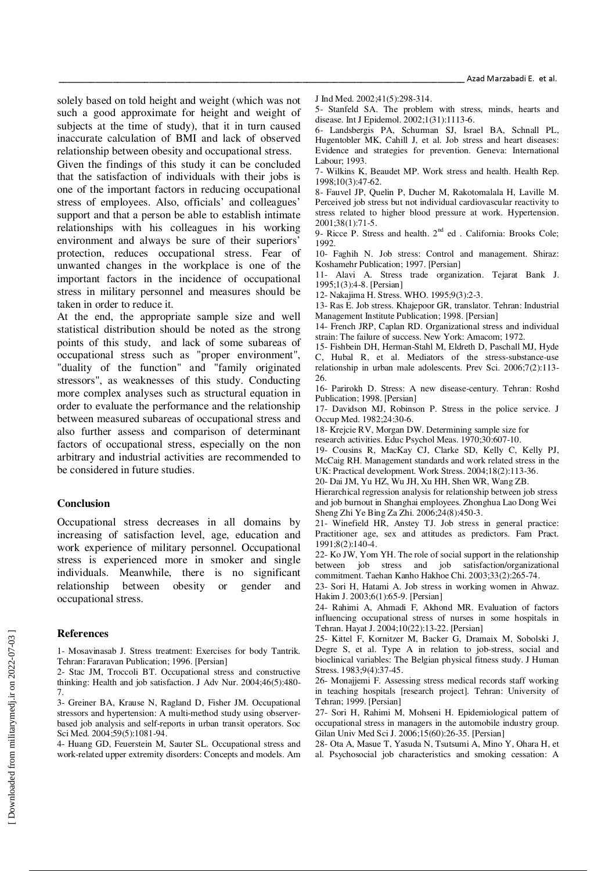solely based on told height and weight (which was not such a good approximate for height and weight of subjects at the time of study), that it in turn caused inaccurate calculation of BMI and lack of observed relationship between obesity and occupational stress.

Given the findings of this study it can be concluded that the satisfaction of individuals with their jobs is one of the important factors in reducing occupational stress of employees. Also, officials' and colleagues' support and that a person be able to establish intimate relationships with his colleagues in his working environment and always be sure of their superiors' protection, reduces occupational stress. Fear of unwanted changes in the workplace is one of the important factors in the incidence of occupational stress in military personnel and measures should be taken in order to reduce it.

At the end, the appropriate sample size and well statistical distribution should be noted as the strong points of this study, and lack of some subareas of occupational stress such as "proper environment", "duality of the function" and "family originated stressors", as weaknesses of this study. Conducting more complex analyses such as structural equation in order to evaluate the performance and the relationship between measured subareas of occupational stress and also further assess and comparison of determinant factors of occupational stress, especially on the non arbitrary and industrial activities are recommended to be considered in future studies.

#### **Conclusion**

Occupational stress decreases in all domains by increasing of satisfaction level, age, education and work experience of military personnel. Occupational stress is experienced more in smoker and single individuals. Meanwhile, there is no significant relationship between obesity or gender and occupational stress.

#### **References**

1- Mosavinasab J. Stress treatment: Exercises for body Tantrik. Tehran: Fararavan Publication; 1996. [Persian]

- 2- Stac JM, Troccoli BT. Occupational stress and constructive thinking: Health and job satisfaction. J Adv Nur. 2004;46(5):480- 7.
- 3- Greiner BA, Krause N, Ragland D, Fisher JM. Occupational stressors and hypertension: A multi-method study using observerbased job analysis and self-reports in urban transit operators. Soc Sci Med. 2004;59(5):1081-94.

4- Huang GD, Feuerstein M, Sauter SL. Occupational stress and work-related upper extremity disorders: Concepts and models. Am J Ind Med. 2002;41(5):298-314.

5- Stanfeld SA. The problem with stress, minds, hearts and disease. Int J Epidemol. 2002;1(31):1113-6.

6- Landsbergis PA, Schurman SJ, Israel BA, Schnall PL, Hugentobler MK, Cahill J, et al. Job stress and heart diseases: Evidence and strategies for prevention. Geneva: International Labour; 1993.

7- Wilkins K, Beaudet MP. Work stress and health. Health Rep. 1998;10(3):47-62.

8- Fauvel JP, Quelin P, Ducher M, Rakotomalala H, Laville M. Perceived job stress but not individual cardiovascular reactivity to stress related to higher blood pressure at work. Hypertension. 2001;38(1):71-5.

9- Ricce P. Stress and health. 2<sup>nd</sup> ed . California: Brooks Cole; 1992.

10- Faghih N. Job stress: Control and management. Shiraz: Koshamehr Publication; 1997. [Persian]

11- Alavi A. Stress trade organization. Tejarat Bank J. 1995;1(3):4-8. [Persian]

12- Nakajima H. Stress. WHO. 1995;9(3):2-3.

13- Ras E. Job stress. Khajepoor GR, translator. Tehran: Industrial Management Institute Publication; 1998. [Persian]

14- French JRP, Caplan RD. Organizational stress and individual strain: The failure of success. New York: Amacom; 1972.

15- Fishbein DH, Herman-Stahl M, Eldreth D, Paschall MJ, Hyde C, Hubal R, et al. Mediators of the stress-substance-use relationship in urban male adolescents. Prev Sci. 2006;7(2):113- 26.

16- Parirokh D. Stress: A new disease-century. Tehran: Roshd Publication; 1998. [Persian]

17- Davidson MJ, Robinson P. Stress in the police service. J Occup Med. 1982;24:30-6.

18- Krejcie RV, Morgan DW. Determining sample size for

research activities. Educ Psychol Meas. 1970;30:607-10.

19- Cousins R, MacKay CJ, Clarke SD, Kelly C, Kelly PJ, McCaig RH. Management standards and work related stress in the UK: Practical development. Work Stress. 2004;18(2):113-36.

20- Dai JM, Yu HZ, Wu JH, Xu HH, Shen WR, Wang ZB.

Hierarchical regression analysis for relationship between job stress and job burnout in Shanghai employees. Zhonghua Lao Dong Wei Sheng Zhi Ye Bing Za Zhi. 2006;24(8):450-3.

21- Winefield HR, Anstey TJ. Job stress in general practice: Practitioner age, sex and attitudes as predictors. Fam Pract. 1991;8(2):140-4.

22- Ko JW, Yom YH. The role of social support in the relationship between job stress and job satisfaction/organizational commitment. Taehan Kanho Hakhoe Chi. 2003;33(2):265-74.

23- Sori H, Hatami A. Job stress in working women in Ahwaz. Hakim J. 2003;6(1):65-9. [Persian]

24- Rahimi A, Ahmadi F, Akhond MR. Evaluation of factors influencing occupational stress of nurses in some hospitals in Tehran. Hayat J. 2004;10(22):13-22. [Persian]

25- Kittel F, Kornitzer M, Backer G, Dramaix M, Sobolski J, Degre S, et al. Type A in relation to job-stress, social and bioclinical variables: The Belgian physical fitness study. J Human Stress. 1983;9(4):37-45.

26- Monajjemi F. Assessing stress medical records staff working in teaching hospitals [research project]. Tehran: University of Tehran; 1999. [Persian]

27- Sori H, Rahimi M, Mohseni H. Epidemiological pattern of occupational stress in managers in the automobile industry group. Gilan Univ Med Sci J. 2006;15(60):26-35. [Persian]

28- Ota A, Masue T, Yasuda N, Tsutsumi A, Mino Y, Ohara H, et al. Psychosocial job characteristics and smoking cessation: A